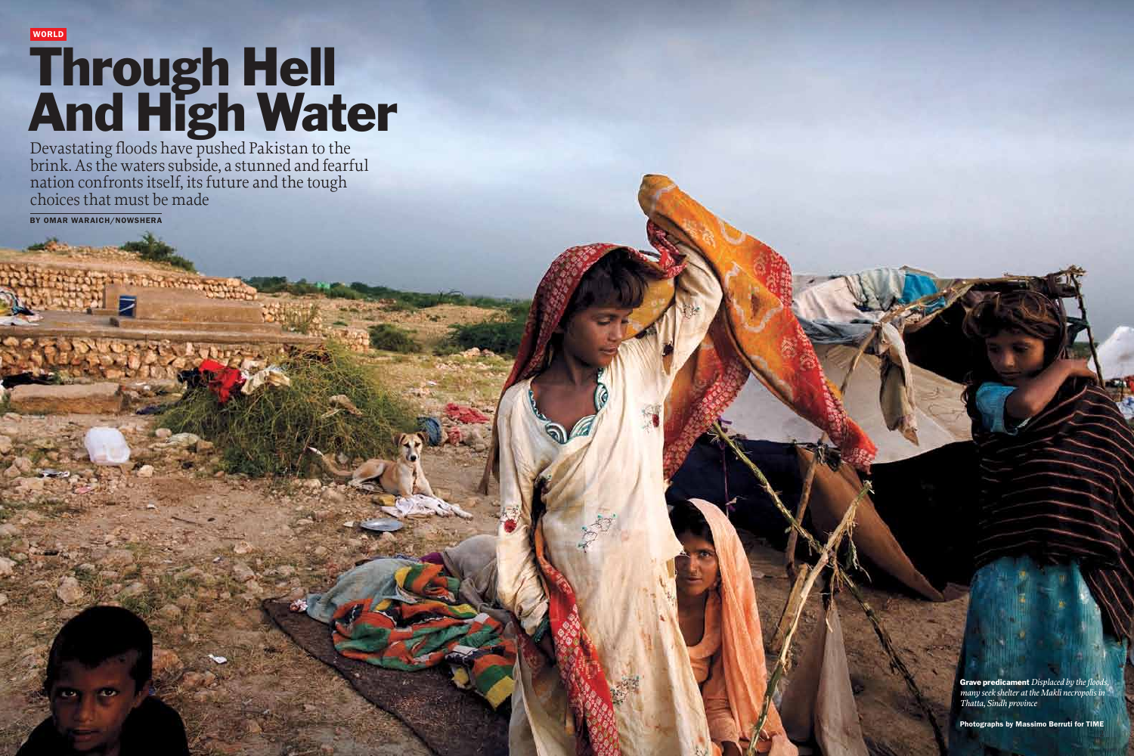Devastating floods have pushed Pakistan to the brink. As the waters subside, a stunned and fearful nation confronts itself, its future and the tough choices that must be made

BY OMAR WARAICH/NOWSHERA

WORLD

# Through Hell And High Water

Photographs by Massimo Berruti for TIME

Grave predicament *Displaced by the floods, many seek shelter at the Makli necropolis in Thatta, Sindh province*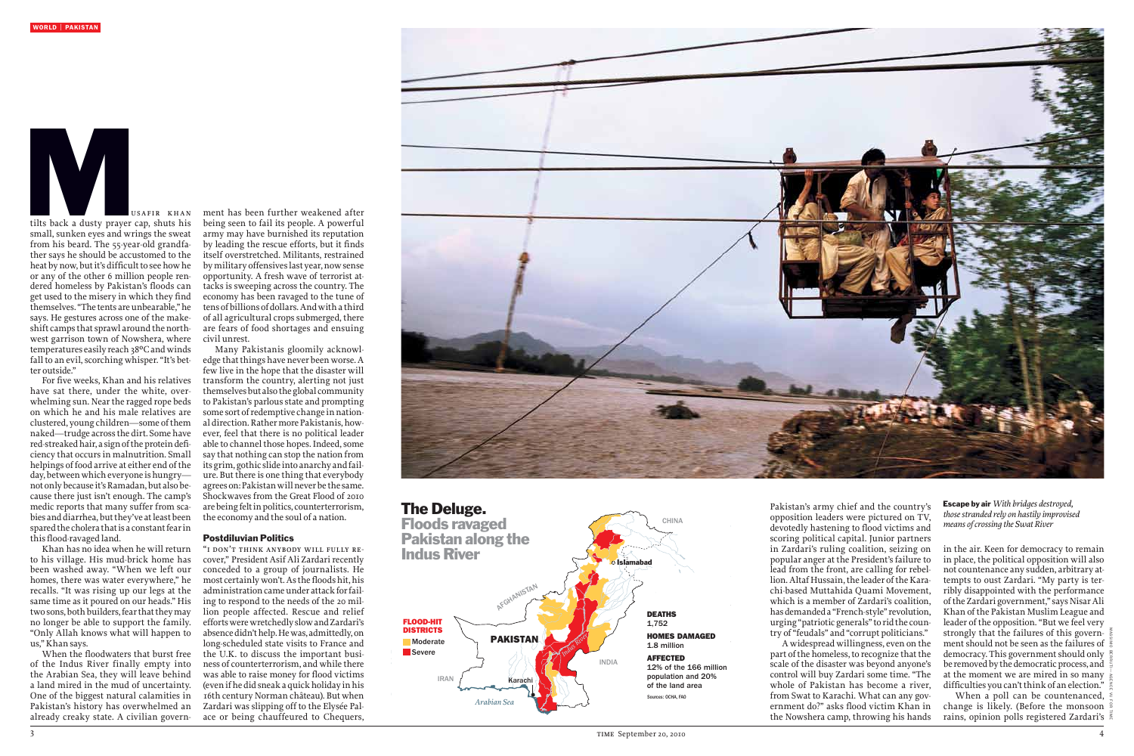Pakistan's army chief and the country's opposition leaders were pictured on TV, devotedly hastening to flood victims and scoring political capital. Junior partners in Zardari's ruling coalition, seizing on popular anger at the President's failure to lead from the front, are calling for rebellion. Altaf Hussain, the leader of the Karachi-based Muttahida Quami Movement, which is a member of Zardari's coalition, has demanded a "French-style" revolution, urging "patriotic generals"toridthe country of"feudals" and "corrupt politicians."

A widespread willingness, even on the part of the homeless, to recognize that the scale of the disaster was beyond anyone's control will buy Zardari some time. "The whole of Pakistan has become a river, from Swat to Karachi. What can any government do?" asks flood victim Khan in the Nowshera camp, throwing his hands

ment has been further weakened after being seen to fail its people. A powerful army may have burnished its reputation by leading the rescue efforts, but it finds itself overstretched. Militants, restrained by military offensives last year, now sense opportunity. A fresh wave of terrorist attacks is sweeping across the country. The economy has been ravaged to the tune of tensofbillionsofdollars.Andwitha third of all agricultural crops submerged, there are fears of food shortages and ensuing civil unrest.

Many Pakistanis gloomily acknowledge that things have never been worse. A few live in the hope that the disaster will transform the country, alerting not just themselvesbut alsotheglobal community to Pakistan's parlous state and prompting some sort of redemptive change in national direction. Rather more Pakistanis, however, feel that there is no political leader able to channel those hopes. Indeed, some say that nothing can stop the nation from its grim, gothic slide into anarchy and failure. But there is one thing that everybody agrees on: Pakistan will never be the same. Shockwaves from the Great Flood of 2010 arebeingfeltinpolitics, counterterrorism, the economy and the soul of a nation.

## Postdiluvian Politics

already creaky state. A civilian govern- ace or being chauffeured to Chequers, When the floodwaters that burst free of the Indus River finally empty into the Arabian Sea, they will leave behind a land mired in the mud of uncertainty. One of the biggest natural calamities in Pakistan's history has overwhelmed an

in the air. Keen for democracy to remain in place, the political opposition will also not countenance any sudden, arbitrary attempts to oust Zardari. "My party is terribly disappointed with the performance of the Zardari government," says Nisar Ali Khan of the Pakistan Muslim League and leader of the opposition."But we feel very strongly that the failures of this government should not be seen as the failures of democracy. This government should only be removed by the democratic process, and at the moment we are mired in so many difficulties you can't think of an election."

"i don't think anybody will fully recover," President Asif Ali Zardari recently conceded to a group of journalists. He most certainly won't. As the floods hit, his administration came under attack for failing to respond to the needs of the 20 million people affected. Rescue and relief effortswerewretchedlyslowandZardari's absence didn't help. He was, admittedly, on long-scheduled state visits to France and the U.K. to discuss the important business of counterterrorism, and while there was able to raise money for flood victims (even if he did sneak a quick holiday in his 16th century Norman château). But when Zardari was slipping off to the Elysée Pal-





tilts back a dusty prayer cap, shuts his small, sunken eyes and wrings the sweat from his beard. The 55-year-old grandfather says he should be accustomed to the heat by now, but it's difficult to see how he or any of the other 6 million people rendered homeless by Pakistan's floods can get used to the misery in which they find themselves. "The tents are unbearable," he says. He gestures across one of the makeshift camps that sprawl around the northwest garrison town of Nowshera, where temperatures easily reach 38°C and winds fall to an evil, scorching whisper. "It's better outside."

For five weeks, Khan and his relatives have sat there, under the white, overwhelming sun. Nearthe ragged rope beds on which he and his male relatives are clustered, young children—some of them naked—trudge across the dirt. Some have red-streaked hair, a sign of the protein deficiency that occursin malnutrition. Small helpings of food arrive at either end of the day, between which everyone is hungrynotonlybecause it'sRamadan,but alsobecause there just isn't enough. The camp's medic reports that many suffer from scabies and diarrhea, but they've at least been spared the cholera that is a constant fear in this flood-ravaged land.



Khan has no idea when he will return to his village. His mud-brick home has been washed away. "When we left our homes, there was water everywhere," he recalls. "It was rising up our legs at the same time as it poured on our heads." His two sons, both builders, fear that they may no longer be able to support the family. "Only Allah knows what will happen to us,"Khan says.

> When a poll can be countenanced, change is likely. (Before the monsoon rains, opinion polls registered Zardari's

Massimo Berruti—Agence Vu for TIME

Escape by air *With bridges destroyed, those stranded rely on hastily improvised means of crossing the Swat River*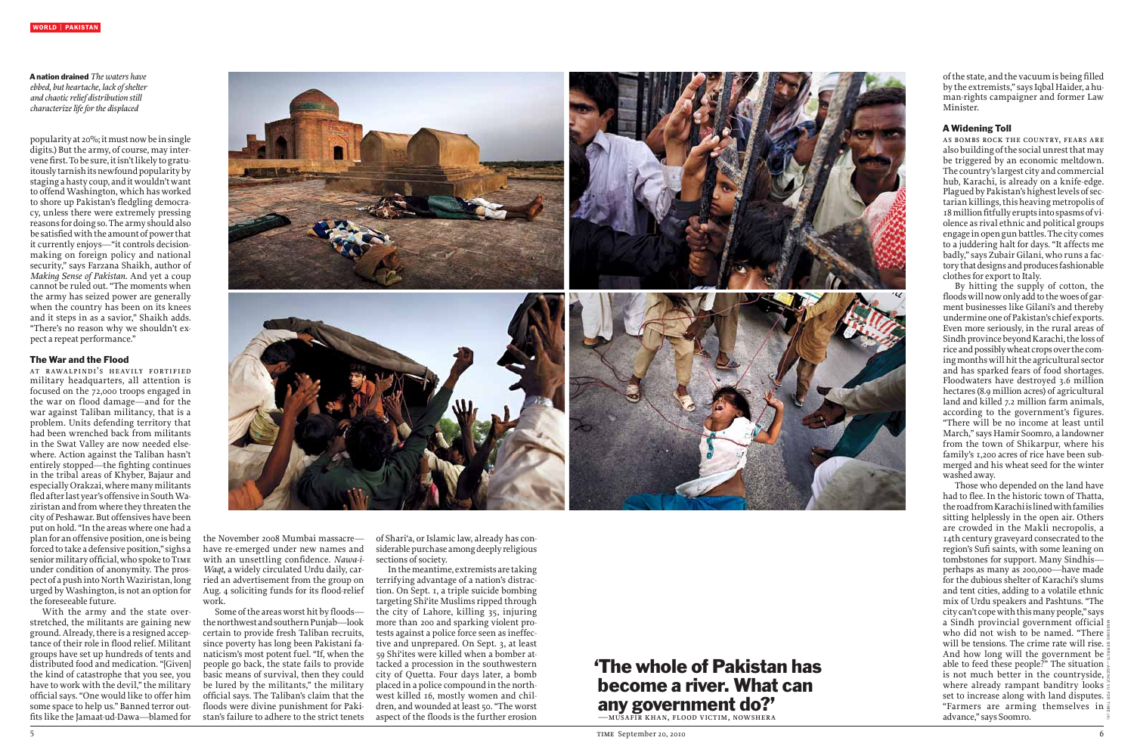popularity at 20%; it must now be in single digits.) But the army, of course, may intervene first. To be sure, it isn't likely to gratuitously tarnish its newfound popularity by staging ahasty coup, anditwouldn'twant to offendWashington, which has worked to shore up Pakistan's fledgling democracy, unless there were extremely pressing reasonsfordoing so.The army shouldalso be satisfied with the amount of power that it currently enjoys—"it controls decisionmaking on foreign policy and national security," says Farzana Shaikh, author of *Making Sense of Pakistan.* And yet a coup cannot be ruled out."The moments when the army has seized power are generally when the country has been on its knees and it steps in as a savior," Shaikh adds. "There's no reason why we shouldn't expect a repeat performance."

## The War and the Flood

at r awa lpindi's he av ily fortified military headquarters, all attention is focused on the 72,000 troops engaged in the war on flood damage—and for the war against Taliban militancy, that is a problem. Units defending territory that had been wrenched back from militants in the Swat Valley are now needed elsewhere. Action against the Taliban hasn't entirely stopped—the fighting continues in the tribal areas of Khyber, Bajaur and especiallyOrakzai,wheremanymilitants fledafterlastyear'soffensive inSouthWaziristan and from where they threaten the city of Peshawar. But offensiveshave been put on hold."In the areas where one had a plan for an offensive position, one is being forced to take a defensive position," sighs a senior military official, who spoke to TIME under condition of anonymity. The prospect of a push into North Waziristan, long urged byWashington, is not an option for the foreseeable future.

of the state, and the vacuum is being filled by the extremists," says Iqbal Haider, a human-rights campaigner and former Law Minister.

as bombs rock the country, fears are also building of the social unrest that may be triggered by an economic meltdown. The country'slargest city and commercial hub, Karachi, is already on a knife-edge. Plagued by Pakistan's highest levels of sectarian killings, this heaving metropolis of 18millionfitfullyeruptsintospasmsofviolence asrival ethnic and political groups engage inopengunbattles.The citycomes to a juddering halt for days. "It affects me badly," says Zubair Gilani, who runs a factory that designs and produces fashionable clothes for export to Italy.

With the army and the state overstretched, the militants are gaining new ground.Already,there is a resigned acceptance of their role in flood relief. Militant groups have set up hundreds of tents and distributed food and medication. "[Given] the kind of catastrophe that you see, you have to work with the devil," the military official says. "One would like to offer him some space to help us." Banned terror outfitslike the Jamaat-ud-Dawa—blamed for



the November 2008 Mumbai massacre have re-emerged under new names and with an unsettling confidence. *Nawa-i-Waqt,* a widely circulated Urdu daily, carried an advertisement from the group on Aug. 4 soliciting funds for its flood-relief work.

Some of the areas worst hit by floods thenorthwestandsouthernPunjab—look certain to provide fresh Taliban recruits, since poverty has long been Pakistani fanaticism's most potent fuel. "If, when the people go back, the state fails to provide basic means of survival, then they could be lured by the militants," the military official says. The Taliban's claim that the floods were divine punishment for Pakistan's failure to adhere to the strict tenets of Shari'a, or Islamic law, already has considerable purchase among deeply religious sections of society.

Inthemeantime, extremists are taking terrifying advantage of a nation's distraction. On Sept. 1, a triple suicide bombing targeting Shi'ite Muslims ripped through the city of Lahore, killing 35, injuring more than 200 and sparking violent protests against a police force seen as ineffective and unprepared. On Sept. 3, at least 59 Shi'ites were killed when a bomber attacked a procession in the southwestern city of Quetta. Four days later, a bomb placed in a police compound in the northwest killed 16, mostly women and children, and wounded at least 50."The worst aspect of the floods is the further erosion

## 'The whole of Pakistan has become a river. What can any government do?' —musafir khan, flood victim, nowshera

### A Widening Toll

By hitting the supply of cotton, the floods will now only add to the woes of garment businesses like Gilani's and thereby undermineoneofPakistan's chief exports. Even more seriously, in the rural areas of Sindh province beyond Karachi, the loss of riceandpossiblywheat cropsoverthecoming months will hit the agricultural sector and has sparked fears of food shortages. Floodwaters have destroyed 3.6 million hectares(8.9 million acres) of agricultural land and killed 7.2 million farm animals, according to the government's figures. "There will be no income at least until March,"says Hamir Soomro, a landowner from the town of Shikarpur, where his family's 1,200 acres of rice have been submerged and his wheat seed for the winter washed away.

Those who depended on the land have had to flee. In the historic town of Thatta, theroadfromKarachiislinedwithfamilies sitting helplessly in the open air. Others are crowded in the Makli necropolis, a 14th century graveyard consecrated to the region's Sufi saints, with some leaning on tombstones for support. Many Sindhis perhaps as many as 200,000—have made for the dubious shelter of Karachi's slums and tent cities, adding to a volatile ethnic mix of Urdu speakers and Pashtuns. "The citycan't copewiththismanypeople,"says a Sindh provincial government official who did not wish to be named. "There will be tensions. The crime rate will rise. And how long will the government be able to feed these people?" The situation is not much better in the countryside, where already rampant banditry looks  $\frac{1}{5}$ set to increase along with land disputes. "Farmers are arming themselves in advance,"says Soomro.

### A nation drained *The waters have ebbed, but heartache, lack of shelter and chaotic relief distribution still characterize life for the displaced*